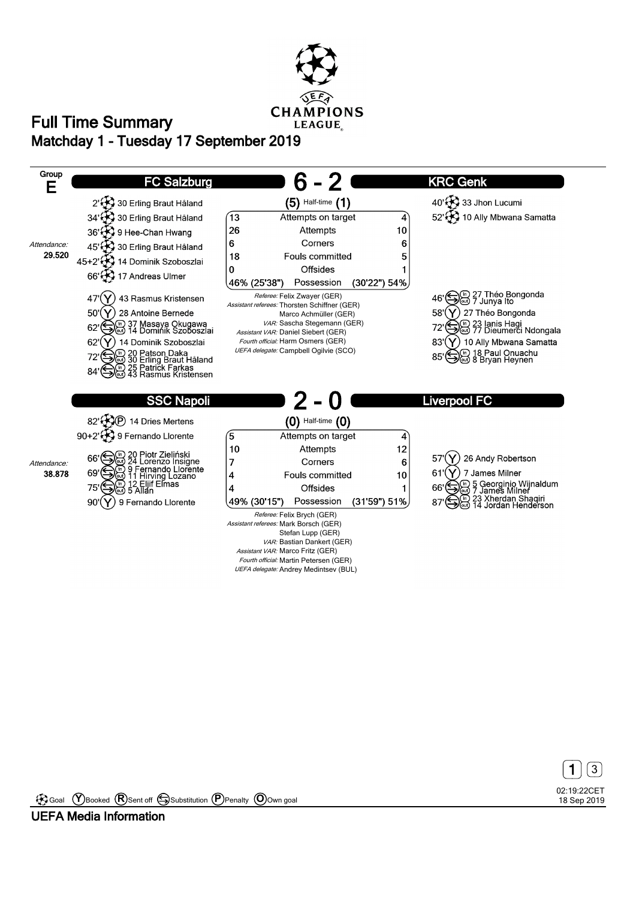

## **Matchday 1 - Tuesday 17 September 2019 Full Time Summary**





Goal **Y** Booked **R** Sent off Substitution **P** Penalty **O** Own goal

**UEFA Media Information**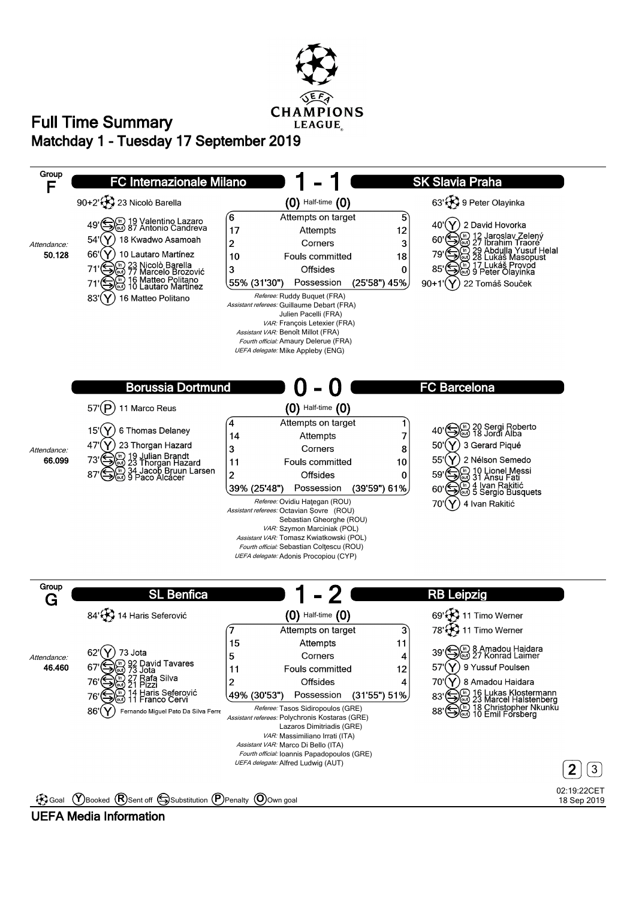

### **Matchday 1 - Tuesday 17 September 2019 Full Time Summary**



#### **UEFA Media Information**